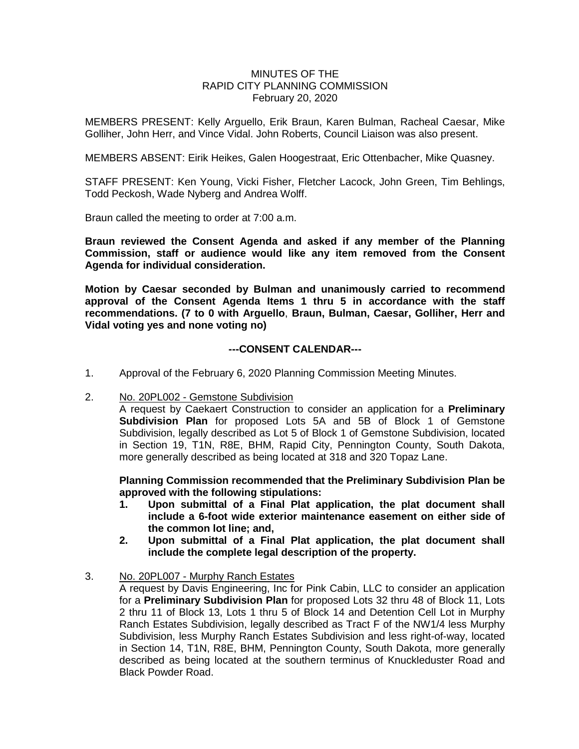### MINUTES OF THE RAPID CITY PLANNING COMMISSION February 20, 2020

MEMBERS PRESENT: Kelly Arguello, Erik Braun, Karen Bulman, Racheal Caesar, Mike Golliher, John Herr, and Vince Vidal. John Roberts, Council Liaison was also present.

MEMBERS ABSENT: Eirik Heikes, Galen Hoogestraat, Eric Ottenbacher, Mike Quasney.

STAFF PRESENT: Ken Young, Vicki Fisher, Fletcher Lacock, John Green, Tim Behlings, Todd Peckosh, Wade Nyberg and Andrea Wolff.

Braun called the meeting to order at 7:00 a.m.

**Braun reviewed the Consent Agenda and asked if any member of the Planning Commission, staff or audience would like any item removed from the Consent Agenda for individual consideration.**

**Motion by Caesar seconded by Bulman and unanimously carried to recommend approval of the Consent Agenda Items 1 thru 5 in accordance with the staff recommendations. (7 to 0 with Arguello**, **Braun, Bulman, Caesar, Golliher, Herr and Vidal voting yes and none voting no)**

#### **---CONSENT CALENDAR---**

- 1. Approval of the February 6, 2020 Planning Commission Meeting Minutes.
- 2. No. 20PL002 Gemstone Subdivision

A request by Caekaert Construction to consider an application for a **Preliminary Subdivision Plan** for proposed Lots 5A and 5B of Block 1 of Gemstone Subdivision, legally described as Lot 5 of Block 1 of Gemstone Subdivision, located in Section 19, T1N, R8E, BHM, Rapid City, Pennington County, South Dakota, more generally described as being located at 318 and 320 Topaz Lane.

**Planning Commission recommended that the Preliminary Subdivision Plan be approved with the following stipulations:**

- **1. Upon submittal of a Final Plat application, the plat document shall include a 6-foot wide exterior maintenance easement on either side of the common lot line; and,**
- **2. Upon submittal of a Final Plat application, the plat document shall include the complete legal description of the property.**
- 3. No. 20PL007 Murphy Ranch Estates

A request by Davis Engineering, Inc for Pink Cabin, LLC to consider an application for a **Preliminary Subdivision Plan** for proposed Lots 32 thru 48 of Block 11, Lots 2 thru 11 of Block 13, Lots 1 thru 5 of Block 14 and Detention Cell Lot in Murphy Ranch Estates Subdivision, legally described as Tract F of the NW1/4 less Murphy Subdivision, less Murphy Ranch Estates Subdivision and less right-of-way, located in Section 14, T1N, R8E, BHM, Pennington County, South Dakota, more generally described as being located at the southern terminus of Knuckleduster Road and Black Powder Road.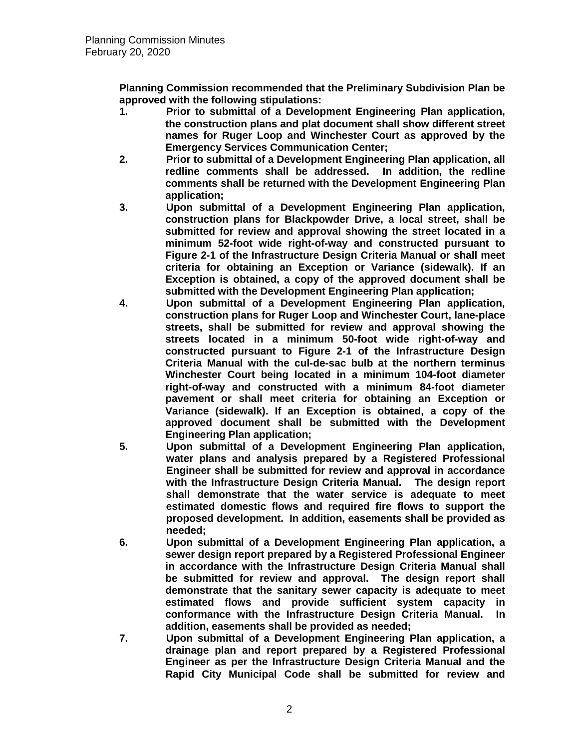**Planning Commission recommended that the Preliminary Subdivision Plan be approved with the following stipulations:** 

- **1. Prior to submittal of a Development Engineering Plan application, the construction plans and plat document shall show different street names for Ruger Loop and Winchester Court as approved by the Emergency Services Communication Center;**
- **2. Prior to submittal of a Development Engineering Plan application, all redline comments shall be addressed. In addition, the redline comments shall be returned with the Development Engineering Plan application;**
- **3. Upon submittal of a Development Engineering Plan application, construction plans for Blackpowder Drive, a local street, shall be submitted for review and approval showing the street located in a minimum 52-foot wide right-of-way and constructed pursuant to Figure 2-1 of the Infrastructure Design Criteria Manual or shall meet criteria for obtaining an Exception or Variance (sidewalk). If an Exception is obtained, a copy of the approved document shall be submitted with the Development Engineering Plan application;**
- **4. Upon submittal of a Development Engineering Plan application, construction plans for Ruger Loop and Winchester Court, lane-place streets, shall be submitted for review and approval showing the streets located in a minimum 50-foot wide right-of-way and constructed pursuant to Figure 2-1 of the Infrastructure Design Criteria Manual with the cul-de-sac bulb at the northern terminus Winchester Court being located in a minimum 104-foot diameter right-of-way and constructed with a minimum 84-foot diameter pavement or shall meet criteria for obtaining an Exception or Variance (sidewalk). If an Exception is obtained, a copy of the approved document shall be submitted with the Development Engineering Plan application;**
- **5. Upon submittal of a Development Engineering Plan application, water plans and analysis prepared by a Registered Professional Engineer shall be submitted for review and approval in accordance with the Infrastructure Design Criteria Manual. The design report shall demonstrate that the water service is adequate to meet estimated domestic flows and required fire flows to support the proposed development. In addition, easements shall be provided as needed;**
- **6. Upon submittal of a Development Engineering Plan application, a sewer design report prepared by a Registered Professional Engineer in accordance with the Infrastructure Design Criteria Manual shall be submitted for review and approval. The design report shall demonstrate that the sanitary sewer capacity is adequate to meet estimated flows and provide sufficient system capacity in conformance with the Infrastructure Design Criteria Manual. In addition, easements shall be provided as needed;**
- **7. Upon submittal of a Development Engineering Plan application, a drainage plan and report prepared by a Registered Professional Engineer as per the Infrastructure Design Criteria Manual and the Rapid City Municipal Code shall be submitted for review and**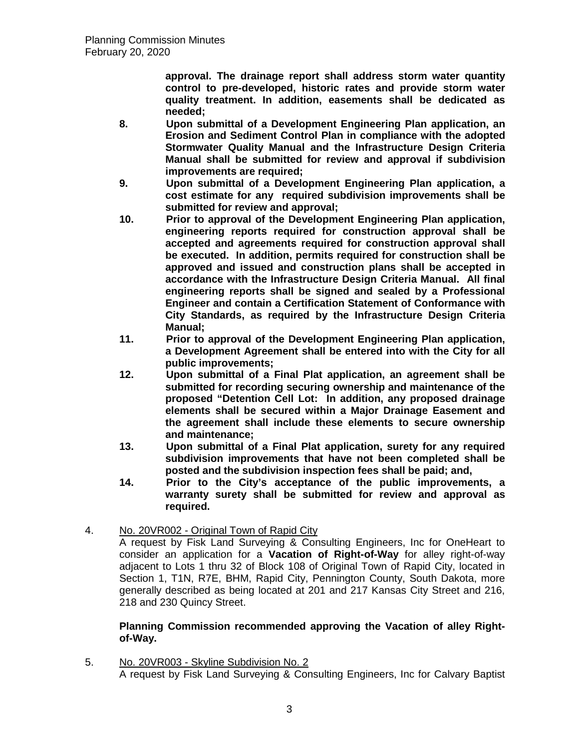**approval. The drainage report shall address storm water quantity control to pre-developed, historic rates and provide storm water quality treatment. In addition, easements shall be dedicated as needed;** 

- **8. Upon submittal of a Development Engineering Plan application, an Erosion and Sediment Control Plan in compliance with the adopted Stormwater Quality Manual and the Infrastructure Design Criteria Manual shall be submitted for review and approval if subdivision improvements are required;**
- **9. Upon submittal of a Development Engineering Plan application, a cost estimate for any required subdivision improvements shall be submitted for review and approval;**
- **10. Prior to approval of the Development Engineering Plan application, engineering reports required for construction approval shall be accepted and agreements required for construction approval shall be executed. In addition, permits required for construction shall be approved and issued and construction plans shall be accepted in accordance with the Infrastructure Design Criteria Manual. All final engineering reports shall be signed and sealed by a Professional Engineer and contain a Certification Statement of Conformance with City Standards, as required by the Infrastructure Design Criteria Manual;**
- **11. Prior to approval of the Development Engineering Plan application, a Development Agreement shall be entered into with the City for all public improvements;**
- **12. Upon submittal of a Final Plat application, an agreement shall be submitted for recording securing ownership and maintenance of the proposed "Detention Cell Lot: In addition, any proposed drainage elements shall be secured within a Major Drainage Easement and the agreement shall include these elements to secure ownership and maintenance;**
- **13. Upon submittal of a Final Plat application, surety for any required subdivision improvements that have not been completed shall be posted and the subdivision inspection fees shall be paid; and,**
- **14. Prior to the City's acceptance of the public improvements, a warranty surety shall be submitted for review and approval as required.**
- 4. No. 20VR002 Original Town of Rapid City

A request by Fisk Land Surveying & Consulting Engineers, Inc for OneHeart to consider an application for a **Vacation of Right-of-Way** for alley right-of-way adjacent to Lots 1 thru 32 of Block 108 of Original Town of Rapid City, located in Section 1, T1N, R7E, BHM, Rapid City, Pennington County, South Dakota, more generally described as being located at 201 and 217 Kansas City Street and 216, 218 and 230 Quincy Street.

# **Planning Commission recommended approving the Vacation of alley Rightof-Way.**

5. No. 20VR003 - Skyline Subdivision No. 2 A request by Fisk Land Surveying & Consulting Engineers, Inc for Calvary Baptist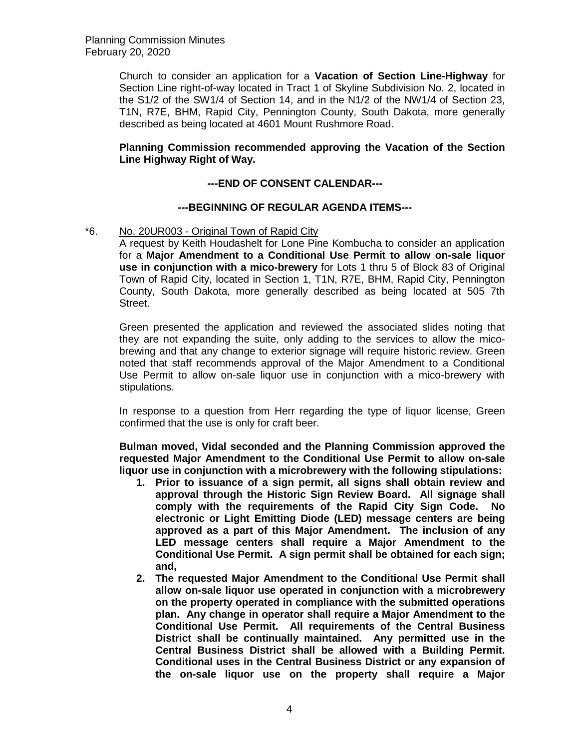Church to consider an application for a **Vacation of Section Line-Highway** for Section Line right-of-way located in Tract 1 of Skyline Subdivision No. 2, located in the S1/2 of the SW1/4 of Section 14, and in the N1/2 of the NW1/4 of Section 23, T1N, R7E, BHM, Rapid City, Pennington County, South Dakota, more generally described as being located at 4601 Mount Rushmore Road.

## **Planning Commission recommended approving the Vacation of the Section Line Highway Right of Way.**

# **---END OF CONSENT CALENDAR---**

## **---BEGINNING OF REGULAR AGENDA ITEMS---**

### \*6. No. 20UR003 - Original Town of Rapid City

A request by Keith Houdashelt for Lone Pine Kombucha to consider an application for a **Major Amendment to a Conditional Use Permit to allow on-sale liquor use in conjunction with a mico-brewery** for Lots 1 thru 5 of Block 83 of Original Town of Rapid City, located in Section 1, T1N, R7E, BHM, Rapid City, Pennington County, South Dakota, more generally described as being located at 505 7th Street.

Green presented the application and reviewed the associated slides noting that they are not expanding the suite, only adding to the services to allow the micobrewing and that any change to exterior signage will require historic review. Green noted that staff recommends approval of the Major Amendment to a Conditional Use Permit to allow on-sale liquor use in conjunction with a mico-brewery with stipulations.

In response to a question from Herr regarding the type of liquor license, Green confirmed that the use is only for craft beer.

**Bulman moved, Vidal seconded and the Planning Commission approved the requested Major Amendment to the Conditional Use Permit to allow on-sale liquor use in conjunction with a microbrewery with the following stipulations:** 

- **1. Prior to issuance of a sign permit, all signs shall obtain review and approval through the Historic Sign Review Board. All signage shall comply with the requirements of the Rapid City Sign Code. No electronic or Light Emitting Diode (LED) message centers are being approved as a part of this Major Amendment. The inclusion of any LED message centers shall require a Major Amendment to the Conditional Use Permit. A sign permit shall be obtained for each sign; and,**
- **2. The requested Major Amendment to the Conditional Use Permit shall allow on-sale liquor use operated in conjunction with a microbrewery on the property operated in compliance with the submitted operations plan. Any change in operator shall require a Major Amendment to the Conditional Use Permit. All requirements of the Central Business District shall be continually maintained. Any permitted use in the Central Business District shall be allowed with a Building Permit. Conditional uses in the Central Business District or any expansion of the on-sale liquor use on the property shall require a Major**